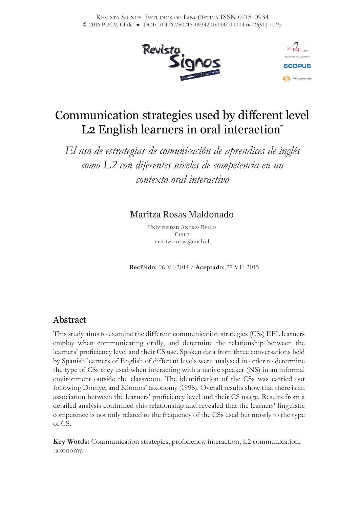



# Communication strategies used by different level L<sub>2</sub> English learners in oral interaction<sup>\*</sup>

*El uso de estrategias de comunicación de aprendices de inglés como L2 con diferentes niveles de competencia en un contexto oral interactivo*

# Maritza Rosas Maldonado

Universidad Andres Bello  $C<sub>HIIE</sub>$ maritza.rosas@unab.cl

**Recibido:** 06-VI-2014 / **Aceptado:** 27-VII-2015

# Abstract

This study aims to examine the different communication strategies (CSs) EFL learners employ when communicating orally, and determine the relationship between the learners' proficiency level and their CS use. Spoken data from three conversations held by Spanish learners of English of different levels were analysed in order to determine the type of CSs they used when interacting with a native speaker (NS) in an informal environment outside the classroom. The identification of the CSs was carried out following Dörnyei and Körmos' taxonomy (1998). Overall results show that there is an association between the learners' proficiency level and their CS usage. Results from a detailed analysis confirmed this relationship and revealed that the learners' linguistic competence is not only related to the frequency of the CSs used but mostly to the type of CS.

**Key Words:** Communication strategies, proficiency, interaction, L2 communication, taxonomy.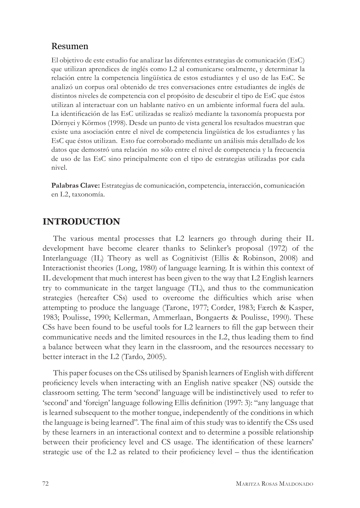## Resumen

El objetivo de este estudio fue analizar las diferentes estrategias de comunicación (EsC) que utilizan aprendices de inglés como L2 al comunicarse oralmente, y determinar la relación entre la competencia lingüística de estos estudiantes y el uso de las EsC. Se analizó un corpus oral obtenido de tres conversaciones entre estudiantes de inglés de distintos niveles de competencia con el propósito de descubrir el tipo de EsC que éstos utilizan al interactuar con un hablante nativo en un ambiente informal fuera del aula. La identificación de las EsC utilizadas se realizó mediante la taxonomía propuesta por Dörnyei y Körmos (1998). Desde un punto de vista general los resultados muestran que existe una asociación entre el nivel de competencia lingüística de los estudiantes y las EsC que éstos utilizan. Esto fue corroborado mediante un análisis más detallado de los datos que demostró una relación no sólo entre el nivel de competencia y la frecuencia de uso de las EsC sino principalmente con el tipo de estrategias utilizadas por cada nivel.

**Palabras Clave:** Estrategias de comunicación, competencia, interacción, comunicación en L2, taxonomía.

# **INTRODUCTION**

The various mental processes that L2 learners go through during their IL development have become clearer thanks to Selinker's proposal (1972) of the Interlanguage (IL) Theory as well as Cognitivist (Ellis & Robinson, 2008) and Interactionist theories (Long, 1980) of language learning. It is within this context of IL development that much interest has been given to the way that L2 English learners try to communicate in the target language (TL), and thus to the communication strategies (hereafter CSs) used to overcome the difficulties which arise when attempting to produce the language (Tarone, 1977; Corder, 1983; Færch & Kasper, 1983; Poulisse, 1990; Kellerman, Ammerlaan, Bongaerts & Poulisse, 1990). These CSs have been found to be useful tools for L2 learners to fill the gap between their communicative needs and the limited resources in the L2, thus leading them to find a balance between what they learn in the classroom, and the resources necessary to better interact in the L2 (Tardo, 2005).

This paper focuses on the CSs utilised by Spanish learners of English with different proficiency levels when interacting with an English native speaker (NS) outside the classroom setting. The term 'second' language will be indistinctively used to refer to 'second' and 'foreign' language following Ellis definition (1997: 3): "any language that is learned subsequent to the mother tongue, independently of the conditions in which the language is being learned". The final aim of this study was to identify the CSs used by these learners in an interactional context and to determine a possible relationship between their proficiency level and CS usage. The identification of these learners' strategic use of the L2 as related to their proficiency level – thus the identification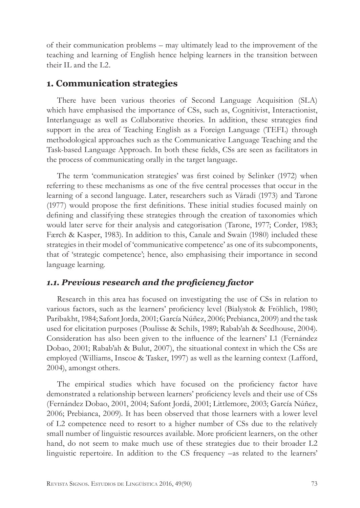of their communication problems – may ultimately lead to the improvement of the teaching and learning of English hence helping learners in the transition between their IL and the L2.

# **1. Communication strategies**

There have been various theories of Second Language Acquisition (SLA) which have emphasised the importance of CSs, such as, Cognitivist, Interactionist, Interlanguage as well as Collaborative theories. In addition, these strategies find support in the area of Teaching English as a Foreign Language (TEFL) through methodological approaches such as the Communicative Language Teaching and the Task-based Language Approach. In both these fields, CSs are seen as facilitators in the process of communicating orally in the target language.

The term 'communication strategies' was first coined by Selinker (1972) when referring to these mechanisms as one of the five central processes that occur in the learning of a second language. Later, researchers such as Váradi (1973) and Tarone (1977) would propose the first definitions. These initial studies focused mainly on defining and classifying these strategies through the creation of taxonomies which would later serve for their analysis and categorisation (Tarone, 1977; Corder, 1983; Færch & Kasper, 1983). In addition to this, Canale and Swain (1980) included these strategies in their model of 'communicative competence' as one of its subcomponents, that of 'strategic competence'; hence, also emphasising their importance in second language learning.

# *1.1. Previous research and the proficiency factor*

Research in this area has focused on investigating the use of CSs in relation to various factors, such as the learners' proficiency level (Bialystok & Fröhlich, 1980; Paribakht, 1984; Safont Jorda, 2001; García Núñez, 2006; Prebianca, 2009) and the task used for elicitation purposes (Poulisse & Schils, 1989; Rabab'ah & Seedhouse, 2004). Consideration has also been given to the influence of the learners' L1 (Fernández Dobao, 2001; Rabab'ah & Bulut, 2007), the situational context in which the CSs are employed (Williams, Inscoe & Tasker, 1997) as well as the learning context (Lafford, 2004), amongst others.

The empirical studies which have focused on the proficiency factor have demonstrated a relationship between learners' proficiency levels and their use of CSs (Fernández Dobao, 2001, 2004; Safont Jordá, 2001; Littlemore, 2003; García Núñez, 2006; Prebianca, 2009). It has been observed that those learners with a lower level of L2 competence need to resort to a higher number of CSs due to the relatively small number of linguistic resources available. More proficient learners, on the other hand, do not seem to make much use of these strategies due to their broader L2 linguistic repertoire. In addition to the CS frequency –as related to the learners'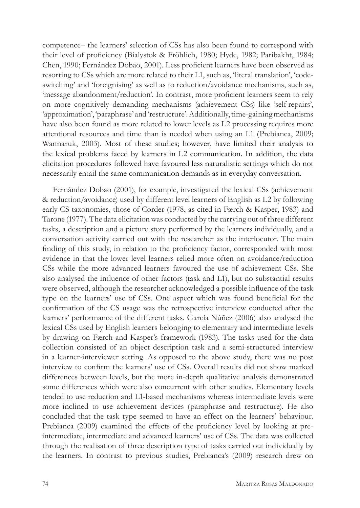competence– the learners' selection of CSs has also been found to correspond with their level of proficiency (Bialystok & Fröhlich, 1980; Hyde, 1982; Paribakht, 1984; Chen, 1990; Fernández Dobao, 2001). Less proficient learners have been observed as resorting to CSs which are more related to their L1, such as, 'literal translation', 'codeswitching' and 'foreignising' as well as to reduction/avoidance mechanisms, such as, 'message abandonment/reduction'. In contrast, more proficient learners seem to rely on more cognitively demanding mechanisms (achievement CSs) like 'self*-*repairs', 'approximation', 'paraphrase' and 'restructure'. Additionally, time-gaining mechanisms have also been found as more related to lower levels as L2 processing requires more attentional resources and time than is needed when using an L1 (Prebianca, 2009; Wannaruk, 2003). Most of these studies; however, have limited their analysis to the lexical problems faced by learners in L2 communication. In addition, the data elicitation procedures followed have favoured less naturalistic settings which do not necessarily entail the same communication demands as in everyday conversation.

Fernández Dobao (2001), for example, investigated the lexical CSs (achievement & reduction/avoidance) used by different level learners of English as L2 by following early CS taxonomies, those of Corder (1978, as cited in Færch & Kasper, 1983) and Tarone (1977). The data elicitation was conducted by the carrying out of three different tasks, a description and a picture story performed by the learners individually, and a conversation activity carried out with the researcher as the interlocutor. The main finding of this study, in relation to the proficiency factor, corresponded with most evidence in that the lower level learners relied more often on avoidance/reduction CSs while the more advanced learners favoured the use of achievement CSs. She also analysed the influence of other factors (task and L1), but no substantial results were observed, although the researcher acknowledged a possible influence of the task type on the learners' use of CSs. One aspect which was found beneficial for the confirmation of the CS usage was the retrospective interview conducted after the learners' performance of the different tasks. García Núñez (2006) also analysed the lexical CSs used by English learners belonging to elementary and intermediate levels by drawing on Færch and Kasper's framework (1983). The tasks used for the data collection consisted of an object description task and a semi-structured interview in a learner-interviewer setting. As opposed to the above study, there was no post interview to confirm the learners' use of CSs. Overall results did not show marked differences between levels, but the more in-depth qualitative analysis demonstrated some differences which were also concurrent with other studies. Elementary levels tended to use reduction and L1-based mechanisms whereas intermediate levels were more inclined to use achievement devices (paraphrase and restructure). He also concluded that the task type seemed to have an effect on the learners' behaviour. Prebianca (2009) examined the effects of the proficiency level by looking at preintermediate, intermediate and advanced learners' use of CSs. The data was collected through the realisation of three description type of tasks carried out individually by the learners. In contrast to previous studies, Prebianca's (2009) research drew on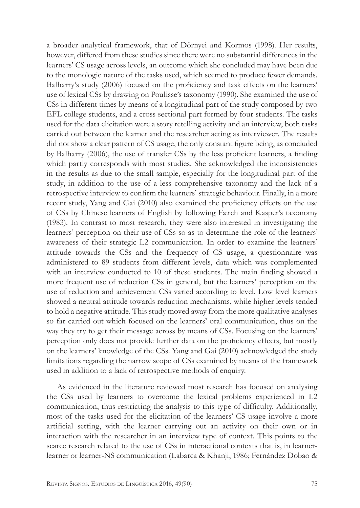a broader analytical framework, that of Dörnyei and Kormos (1998). Her results, however, differed from these studies since there were no substantial differences in the learners' CS usage across levels, an outcome which she concluded may have been due to the monologic nature of the tasks used, which seemed to produce fewer demands. Balharry's study (2006) focused on the proficiency and task effects on the learners' use of lexical CSs by drawing on Poulisse's taxonomy (1990). She examined the use of CSs in different times by means of a longitudinal part of the study composed by two EFL college students, and a cross sectional part formed by four students. The tasks used for the data elicitation were a story retelling activity and an interview, both tasks carried out between the learner and the researcher acting as interviewer. The results did not show a clear pattern of CS usage, the only constant figure being, as concluded by Balharry (2006), the use of transfer CSs by the less proficient learners, a finding which partly corresponds with most studies. She acknowledged the inconsistencies in the results as due to the small sample, especially for the longitudinal part of the study, in addition to the use of a less comprehensive taxonomy and the lack of a retrospective interview to confirm the learners' strategic behaviour. Finally, in a more recent study, Yang and Gai (2010) also examined the proficiency effects on the use of CSs by Chinese learners of English by following Færch and Kasper's taxonomy (1983). In contrast to most research, they were also interested in investigating the learners' perception on their use of CSs so as to determine the role of the learners' awareness of their strategic L2 communication. In order to examine the learners' attitude towards the CSs and the frequency of CS usage, a questionnaire was administered to 89 students from different levels, data which was complemented with an interview conducted to 10 of these students. The main finding showed a more frequent use of reduction CSs in general, but the learners' perception on the use of reduction and achievement CSs varied according to level. Low level learners showed a neutral attitude towards reduction mechanisms, while higher levels tended to hold a negative attitude. This study moved away from the more qualitative analyses so far carried out which focused on the learners' oral communication, thus on the way they try to get their message across by means of CSs. Focusing on the learners' perception only does not provide further data on the proficiency effects, but mostly on the learners' knowledge of the CSs. Yang and Gai (2010) acknowledged the study limitations regarding the narrow scope of CSs examined by means of the framework used in addition to a lack of retrospective methods of enquiry.

As evidenced in the literature reviewed most research has focused on analysing the CSs used by learners to overcome the lexical problems experienced in L2 communication, thus restricting the analysis to this type of difficulty. Additionally, most of the tasks used for the elicitation of the learners' CS usage involve a more artificial setting, with the learner carrying out an activity on their own or in interaction with the researcher in an interview type of context. This points to the scarce research related to the use of CSs in interactional contexts that is, in learnerlearner or learner-NS communication (Labarca & Khanji, 1986; Fernández Dobao &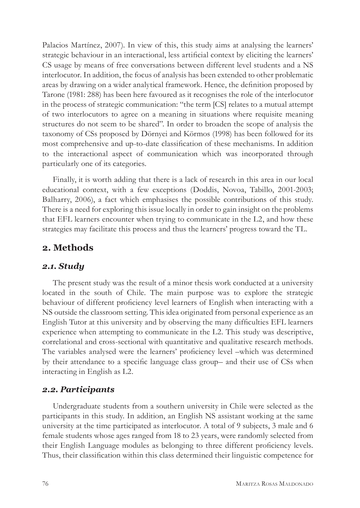Palacios Martínez, 2007). In view of this, this study aims at analysing the learners' strategic behaviour in an interactional, less artificial context by eliciting the learners' CS usage by means of free conversations between different level students and a NS interlocutor. In addition, the focus of analysis has been extended to other problematic areas by drawing on a wider analytical framework. Hence, the definition proposed by Tarone (1981: 288) has been here favoured as it recognises the role of the interlocutor in the process of strategic communication: "the term [CS] relates to a mutual attempt of two interlocutors to agree on a meaning in situations where requisite meaning structures do not seem to be shared". In order to broaden the scope of analysis the taxonomy of CSs proposed by Dörnyei and Körmos (1998) has been followed for its most comprehensive and up-to-date classification of these mechanisms. In addition to the interactional aspect of communication which was incorporated through particularly one of its categories.

Finally, it is worth adding that there is a lack of research in this area in our local educational context, with a few exceptions (Doddis, Novoa, Tabillo, 2001-2003; Balharry, 2006), a fact which emphasises the possible contributions of this study. There is a need for exploring this issue locally in order to gain insight on the problems that EFL learners encounter when trying to communicate in the L2, and how these strategies may facilitate this process and thus the learners' progress toward the TL.

# **2. Methods**

## *2.1. Study*

The present study was the result of a minor thesis work conducted at a university located in the south of Chile. The main purpose was to explore the strategic behaviour of different proficiency level learners of English when interacting with a NS outside the classroom setting. This idea originated from personal experience as an English Tutor at this university and by observing the many difficulties EFL learners experience when attempting to communicate in the L2. This study was descriptive, correlational and cross-sectional with quantitative and qualitative research methods. The variables analysed were the learners' proficiency level –which was determined by their attendance to a specific language class group– and their use of CSs when interacting in English as L2.

## *2.2. Participants*

Undergraduate students from a southern university in Chile were selected as the participants in this study. In addition, an English NS assistant working at the same university at the time participated as interlocutor. A total of 9 subjects, 3 male and 6 female students whose ages ranged from 18 to 23 years, were randomly selected from their English Language modules as belonging to three different proficiency levels. Thus, their classification within this class determined their linguistic competence for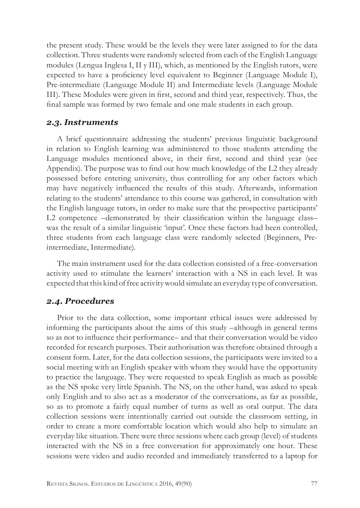the present study. These would be the levels they were later assigned to for the data collection. Three students were randomly selected from each of the English Language modules (Lengua Inglesa I, II y III), which, as mentioned by the English tutors, were expected to have a proficiency level equivalent to Beginner (Language Module I), Pre-intermediate (Language Module II) and Intermediate levels (Language Module III). These Modules were given in first, second and third year, respectively. Thus, the final sample was formed by two female and one male students in each group.

## *2.3. Instruments*

A brief questionnaire addressing the students' previous linguistic background in relation to English learning was administered to those students attending the Language modules mentioned above, in their first, second and third year (see Appendix). The purpose was to find out how much knowledge of the L2 they already possessed before entering university, thus controlling for any other factors which may have negatively influenced the results of this study. Afterwards, information relating to the students' attendance to this course was gathered, in consultation with the English language tutors, in order to make sure that the prospective participants' L2 competence –demonstrated by their classification within the language class– was the result of a similar linguistic 'input'. Once these factors had been controlled, three students from each language class were randomly selected (Beginners, Preintermediate, Intermediate).

The main instrument used for the data collection consisted of a free-conversation activity used to stimulate the learners' interaction with a NS in each level. It was expected that this kind of free activity would simulate an everyday type of conversation.

## *2.4. Procedures*

Prior to the data collection, some important ethical issues were addressed by informing the participants about the aims of this study –although in general terms so as not to influence their performance– and that their conversation would be video recorded for research purposes. Their authorisation was therefore obtained through a consent form. Later, for the data collection sessions, the participants were invited to a social meeting with an English speaker with whom they would have the opportunity to practice the language. They were requested to speak English as much as possible as the NS spoke very little Spanish. The NS, on the other hand, was asked to speak only English and to also act as a moderator of the conversations, as far as possible, so as to promote a fairly equal number of turns as well as oral output. The data collection sessions were intentionally carried out outside the classroom setting, in order to create a more comfortable location which would also help to simulate an everyday like situation. There were three sessions where each group (level) of students interacted with the NS in a free conversation for approximately one hour. These sessions were video and audio recorded and immediately transferred to a laptop for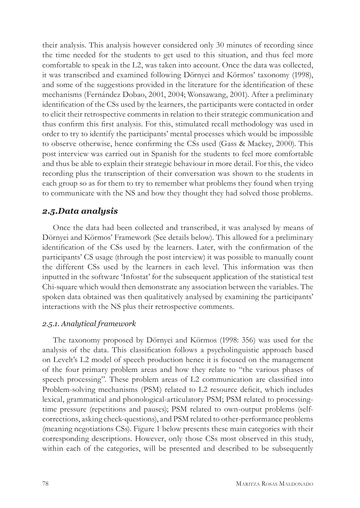their analysis. This analysis however considered only 30 minutes of recording since the time needed for the students to get used to this situation, and thus feel more comfortable to speak in the L2, was taken into account. Once the data was collected, it was transcribed and examined following Dörnyei and Körmos' taxonomy (1998), and some of the suggestions provided in the literature for the identification of these mechanisms (Fernández Dobao, 2001, 2004; Wonsawang, 2001). After a preliminary identification of the CSs used by the learners, the participants were contacted in order to elicit their retrospective comments in relation to their strategic communication and thus confirm this first analysis. For this, stimulated recall methodology was used in order to try to identify the participants' mental processes which would be impossible to observe otherwise, hence confirming the CSs used (Gass & Mackey, 2000). This post interview was carried out in Spanish for the students to feel more comfortable and thus be able to explain their strategic behaviour in more detail. For this, the video recording plus the transcription of their conversation was shown to the students in each group so as for them to try to remember what problems they found when trying to communicate with the NS and how they thought they had solved those problems.

# *2.5.Data analysis*

Once the data had been collected and transcribed, it was analysed by means of Dörnyei and Körmos' Framework (See details below). This allowed for a preliminary identification of the CSs used by the learners. Later, with the confirmation of the participants' CS usage (through the post interview) it was possible to manually count the different CSs used by the learners in each level. This information was then inputted in the software 'Infostat' for the subsequent application of the statistical test Chi-square which would then demonstrate any association between the variables. The spoken data obtained was then qualitatively analysed by examining the participants' interactions with the NS plus their retrospective comments.

## *2.5.1. Analytical framework*

The taxonomy proposed by Dörnyei and Körmos (1998: 356) was used for the analysis of the data. This classification follows a psycholinguistic approach based on Levelt's L2 model of speech production hence it is focused on the management of the four primary problem areas and how they relate to "the various phases of speech processing". These problem areas of L2 communication are classified into Problem-solving mechanisms (PSM) related to L2 resource deficit, which includes lexical, grammatical and phonological-articulatory PSM; PSM related to processingtime pressure (repetitions and pauses); PSM related to own-output problems (selfcorrections, asking check-questions), and PSM related to other-performance problems (meaning negotiations CSs). Figure 1 below presents these main categories with their corresponding descriptions. However, only those CSs most observed in this study, within each of the categories, will be presented and described to be subsequently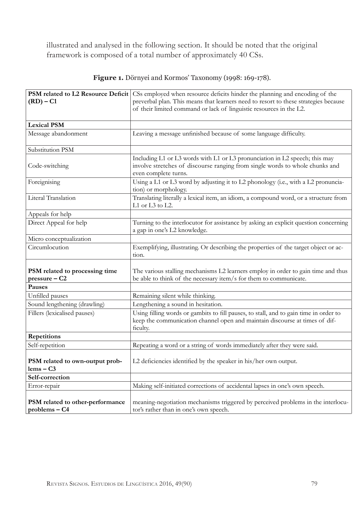illustrated and analysed in the following section. It should be noted that the original framework is composed of a total number of approximately 40 CSs.

| PSM related to L2 Resource Deficit<br>$(RD) - C1$ | CSs employed when resource deficits hinder the planning and encoding of the<br>preverbal plan. This means that learners need to resort to these strategies because<br>of their limited command or lack of linguistic resources in the L2. |  |  |  |  |
|---------------------------------------------------|-------------------------------------------------------------------------------------------------------------------------------------------------------------------------------------------------------------------------------------------|--|--|--|--|
| <b>Lexical PSM</b>                                |                                                                                                                                                                                                                                           |  |  |  |  |
| Message abandonment                               | Leaving a message unfinished because of some language difficulty.                                                                                                                                                                         |  |  |  |  |
| Substitution PSM                                  |                                                                                                                                                                                                                                           |  |  |  |  |
| Code-switching                                    | Including L1 or L3 words with L1 or L3 pronunciation in L2 speech; this may<br>involve stretches of discourse ranging from single words to whole chunks and<br>even complete turns.                                                       |  |  |  |  |
| Foreignising                                      | Using a L1 or L3 word by adjusting it to L2 phonology (i.e., with a L2 pronuncia-<br>tion) or morphology.                                                                                                                                 |  |  |  |  |
| Literal Translation                               | Translating literally a lexical item, an idiom, a compound word, or a structure from<br>L1 or L3 to L2.                                                                                                                                   |  |  |  |  |
| Appeals for help                                  |                                                                                                                                                                                                                                           |  |  |  |  |
| Direct Appeal for help                            | Turning to the interlocutor for assistance by asking an explicit question concerning<br>a gap in one's L2 knowledge.                                                                                                                      |  |  |  |  |
| Micro conceptualization                           |                                                                                                                                                                                                                                           |  |  |  |  |
| Circumlocution                                    | Exemplifying, illustrating. Or describing the properties of the target object or ac-<br>tion.                                                                                                                                             |  |  |  |  |
| PSM related to processing time<br>$pressure - C2$ | The various stalling mechanisms L2 learners employ in order to gain time and thus<br>be able to think of the necessary item/s for them to communicate.                                                                                    |  |  |  |  |
| Pauses                                            |                                                                                                                                                                                                                                           |  |  |  |  |
| Unfilled pauses                                   | Remaining silent while thinking.                                                                                                                                                                                                          |  |  |  |  |
| Sound lengthening (drawling)                      | Lengthening a sound in hesitation.                                                                                                                                                                                                        |  |  |  |  |
| Fillers (lexicalised pauses)                      | Using filling words or gambits to fill pauses, to stall, and to gain time in order to<br>keep the communication channel open and maintain discourse at times of dif-<br>ficulty.                                                          |  |  |  |  |
| Repetitions                                       |                                                                                                                                                                                                                                           |  |  |  |  |
| Self-repetition                                   | Repeating a word or a string of words immediately after they were said.                                                                                                                                                                   |  |  |  |  |
| PSM related to own-output prob-<br>$lems - C3$    | L2 deficiencies identified by the speaker in his/her own output.                                                                                                                                                                          |  |  |  |  |
| Self-correction                                   |                                                                                                                                                                                                                                           |  |  |  |  |
| Error-repair                                      | Making self-initiated corrections of accidental lapses in one's own speech.                                                                                                                                                               |  |  |  |  |
| PSM related to other-performance<br>problems – C4 | meaning-negotiation mechanisms triggered by perceived problems in the interlocu-<br>tor's rather than in one's own speech.                                                                                                                |  |  |  |  |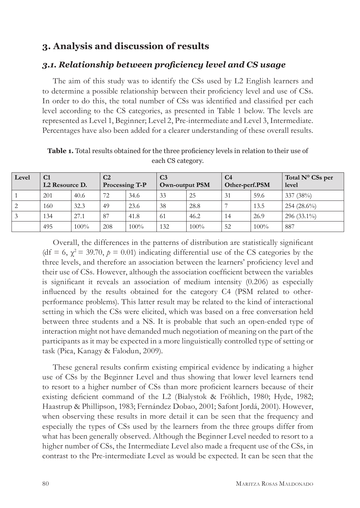# **3. Analysis and discussion of results**

## *3.1. Relationship between proficiency level and CS usage*

The aim of this study was to identify the CSs used by L2 English learners and to determine a possible relationship between their proficiency level and use of CSs. In order to do this, the total number of CSs was identified and classified per each level according to the CS categories, as presented in Table 1 below. The levels are represented as Level 1, Beginner; Level 2, Pre-intermediate and Level 3, Intermediate. Percentages have also been added for a clearer understanding of these overall results.

| Level | C <sub>1</sub><br>L <sub>2</sub> Resource D. |         | C <sub>2</sub><br>Processing T-P |         | C <sub>3</sub><br><b>Own-output PSM</b> |         | C <sub>4</sub><br>Other-perf.PSM |      | Total $N^{\circ}$ CSs per<br>level |
|-------|----------------------------------------------|---------|----------------------------------|---------|-----------------------------------------|---------|----------------------------------|------|------------------------------------|
|       | 201                                          | 40.6    | 72                               | 34.6    | 33                                      | 25      | 31                               | 59.6 | 337(38%)                           |
| 2     | 160                                          | 32.3    | 49                               | 23.6    | 38                                      | 28.8    |                                  | 13.5 | $254(28.6\%)$                      |
| 3     | 134                                          | 27.1    | 87                               | 41.8    | 61                                      | 46.2    | 14                               | 26.9 | $296(33.1\%)$                      |
|       | 495                                          | $100\%$ | 208                              | $100\%$ | 132                                     | $100\%$ | 52                               | 100% | 887                                |

**Table 1.** Total results obtained for the three proficiency levels in relation to their use of each CS category.

Overall, the differences in the patterns of distribution are statistically significant (df = 6,  $\chi^2$  = 39.70,  $p = 0.01$ ) indicating differential use of the CS categories by the three levels, and therefore an association between the learners' proficiency level and their use of CSs. However, although the association coefficient between the variables is significant it reveals an association of medium intensity (0.206) as especially influenced by the results obtained for the category C4 (PSM related to otherperformance problems). This latter result may be related to the kind of interactional setting in which the CSs were elicited, which was based on a free conversation held between three students and a NS. It is probable that such an open-ended type of interaction might not have demanded much negotiation of meaning on the part of the participants as it may be expected in a more linguistically controlled type of setting or task (Pica, Kanagy & Falodun, 2009).

These general results confirm existing empirical evidence by indicating a higher use of CSs by the Beginner Level and thus showing that lower level learners tend to resort to a higher number of CSs than more proficient learners because of their existing deficient command of the L2 (Bialystok & Fröhlich, 1980; Hyde, 1982; Haastrup & Phillipson, 1983; Fernández Dobao, 2001; Safont Jordá, 2001). However, when observing these results in more detail it can be seen that the frequency and especially the types of CSs used by the learners from the three groups differ from what has been generally observed. Although the Beginner Level needed to resort to a higher number of CSs, the Intermediate Level also made a frequent use of the CSs, in contrast to the Pre-intermediate Level as would be expected. It can be seen that the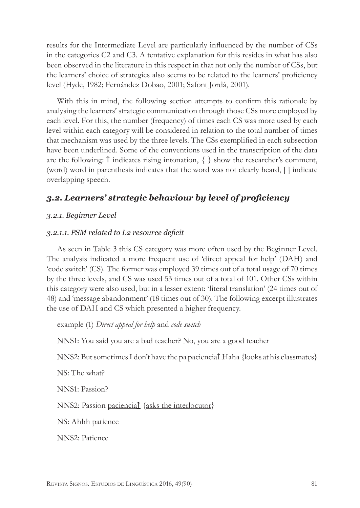results for the Intermediate Level are particularly influenced by the number of CSs in the categories C2 and C3. A tentative explanation for this resides in what has also been observed in the literature in this respect in that not only the number of CSs, but the learners' choice of strategies also seems to be related to the learners' proficiency level (Hyde, 1982; Fernández Dobao, 2001; Safont Jordá, 2001).

With this in mind, the following section attempts to confirm this rationale by analysing the learners' strategic communication through those CSs more employed by each level. For this, the number (frequency) of times each CS was more used by each level within each category will be considered in relation to the total number of times that mechanism was used by the three levels. The CSs exemplified in each subsection have been underlined. Some of the conventions used in the transcription of the data are the following:  $\uparrow$  indicates rising intonation,  $\{ \}$  show the researcher's comment, (word) word in parenthesis indicates that the word was not clearly heard, [ ] indicate overlapping speech.

# *3.2. Learners' strategic behaviour by level of proficiency*

## *3.2.1. Beginner Level*

## *3.2.1.1. PSM related to L2 resource deficit*

As seen in Table 3 this CS category was more often used by the Beginner Level. The analysis indicated a more frequent use of 'direct appeal for help' (DAH) and 'code switch' (CS). The former was employed 39 times out of a total usage of 70 times by the three levels, and CS was used 53 times out of a total of 101. Other CSs within this category were also used, but in a lesser extent: 'literal translation' (24 times out of 48) and 'message abandonment' (18 times out of 30). The following excerpt illustrates the use of DAH and CS which presented a higher frequency.

example (1) *Direct appeal for help* and *code switch*

NNS1: You said you are a bad teacher? No, you are a good teacher

NNS2: But sometimes I don't have the pa paciencia↑ Haha {looks at his classmates}

NS: The what?

NNS1: Passion?

NNS2: Passion paciencia↑ {asks the interlocutor}

NS: Ahhh patience

NNS2: Patience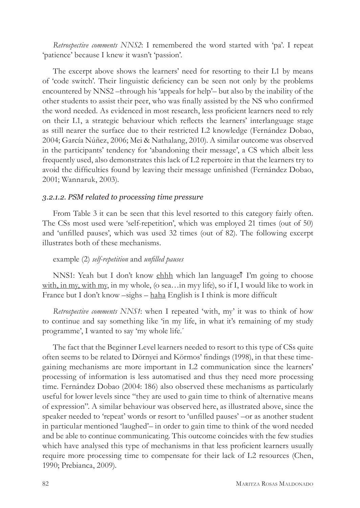*Retrospective comments NNS2*: I remembered the word started with 'pa'. I repeat 'patience' because I knew it wasn't 'passion'.

The excerpt above shows the learners' need for resorting to their L1 by means of 'code switch'. Their linguistic deficiency can be seen not only by the problems encountered by NNS2 –through his 'appeals for help'– but also by the inability of the other students to assist their peer, who was finally assisted by the NS who confirmed the word needed. As evidenced in most research, less proficient learners need to rely on their L1, a strategic behaviour which reflects the learners' interlanguage stage as still nearer the surface due to their restricted L2 knowledge (Fernández Dobao, 2004; García Núñez, 2006; Mei & Nathalang, 2010). A similar outcome was observed in the participants' tendency for 'abandoning their message', a CS which albeit less frequently used, also demonstrates this lack of L2 repertoire in that the learners try to avoid the difficulties found by leaving their message unfinished (Fernández Dobao, 2001; Wannaruk, 2003).

#### *3.2.1.2. PSM related to processing time pressure*

From Table 3 it can be seen that this level resorted to this category fairly often. The CSs most used were 'self-repetition', which was employed 21 times (out of 50) and 'unfilled pauses', which was used 32 times (out of 82). The following excerpt illustrates both of these mechanisms.

#### example (2) *self-repetition* and *unfilled pauses*

NNS1: Yeah but I don't know ehhh which lan language↑ I'm going to choose with, in my, with my, in my whole, (o sea…in myy life), so if I, I would like to work in France but I don't know –sighs – haha English is I think is more difficult

*Retrospective comments NNS1*: when I repeated 'with, my' it was to think of how to continue and say something like 'in my life, in what it's remaining of my study programme', I wanted to say 'my whole life.´

The fact that the Beginner Level learners needed to resort to this type of CSs quite often seems to be related to Dörnyei and Körmos' findings (1998), in that these timegaining mechanisms are more important in L2 communication since the learners' processing of information is less automatised and thus they need more processing time. Fernández Dobao (2004: 186) also observed these mechanisms as particularly useful for lower levels since "they are used to gain time to think of alternative means of expression". A similar behaviour was observed here, as illustrated above, since the speaker needed to 'repeat' words or resort to 'unfilled pauses' –or as another student in particular mentioned 'laughed'– in order to gain time to think of the word needed and be able to continue communicating. This outcome coincides with the few studies which have analysed this type of mechanisms in that less proficient learners usually require more processing time to compensate for their lack of L2 resources (Chen, 1990; Prebianca, 2009).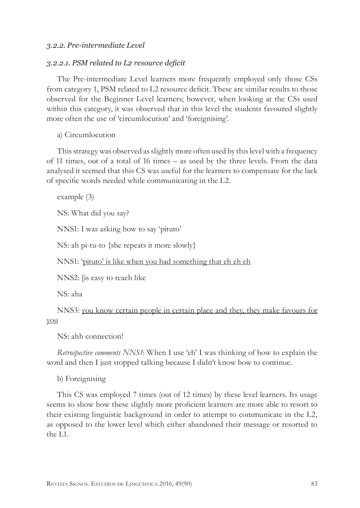#### *3.2.2. Pre-intermediate Level*

#### *3.2.2.1. PSM related to L2 resource deficit*

The Pre-intermediate Level learners more frequently employed only those CSs from category 1, PSM related to L2 resource deficit. These are similar results to those observed for the Beginner Level learners; however, when looking at the CSs used within this category, it was observed that in this level the students favoured slightly more often the use of 'circumlocution' and 'foreignising'*.*

a) Circumlocution

This strategy was observed as slightly more often used by this level with a frequency of 11 times, out of a total of 16 times – as used by the three levels. From the data analysed it seemed that this CS was useful for the learners to compensate for the lack of specific words needed while communicating in the L2.

example (3)

NS: What did you say?

NNS1: I was asking how to say 'pituto'

NS: ah pi-tu-to {she repeats it more slowly}

NNS1: 'pituto' is like when you had something that eh eh eh

NNS2: [is easy to reach like

NS: aha

NNS3: you know certain people in certain place and they, they make favours for you

NS: ahh connection!

*Retrospective comments NNS1*: When I use 'eh' I was thinking of how to explain the word and then I just stopped talking because I didn't know how to continue.

b) Foreignising

This CS was employed 7 times (out of 12 times) by these level learners. Its usage seems to show how these slightly more proficient learners are more able to resort to their existing linguistic background in order to attempt to communicate in the L2, as opposed to the lower level which either abandoned their message or resorted to the L1.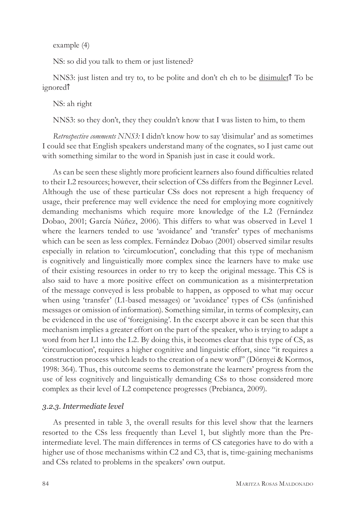example (4)

NS: so did you talk to them or just listened?

NNS3: just listen and try to, to be polite and don't eh eh to be disimulet↑ To be ignored↑

NS: ah right

NNS3: so they don't, they they couldn't know that I was listen to him, to them

*Retrospective comments NNS3:* I didn't know how to say 'disimular' and as sometimes I could see that English speakers understand many of the cognates, so I just came out with something similar to the word in Spanish just in case it could work.

As can be seen these slightly more proficient learners also found difficulties related to their L2 resources; however, their selection of CSs differs from the Beginner Level. Although the use of these particular CSs does not represent a high frequency of usage, their preference may well evidence the need for employing more cognitively demanding mechanisms which require more knowledge of the L2 (Fernández Dobao, 2001; García Núñez, 2006). This differs to what was observed in Level 1 where the learners tended to use 'avoidance' and 'transfer' types of mechanisms which can be seen as less complex. Fernández Dobao (2001) observed similar results especially in relation to 'circumlocution', concluding that this type of mechanism is cognitively and linguistically more complex since the learners have to make use of their existing resources in order to try to keep the original message. This CS is also said to have a more positive effect on communication as a misinterpretation of the message conveyed is less probable to happen, as opposed to what may occur when using 'transfer' (L1-based messages) or 'avoidance' types of CSs (unfinished messages or omission of information). Something similar, in terms of complexity, can be evidenced in the use of 'foreignising'. In the excerpt above it can be seen that this mechanism implies a greater effort on the part of the speaker, who is trying to adapt a word from her L1 into the L2. By doing this, it becomes clear that this type of CS, as 'circumlocution', requires a higher cognitive and linguistic effort, since "it requires a construction process which leads to the creation of a new word" (Dörnyei & Kormos, 1998: 364). Thus, this outcome seems to demonstrate the learners' progress from the use of less cognitively and linguistically demanding CSs to those considered more complex as their level of L2 competence progresses (Prebianca, 2009).

#### *3.2.3. Intermediate level*

As presented in table 3, the overall results for this level show that the learners resorted to the CSs less frequently than Level 1, but slightly more than the Preintermediate level. The main differences in terms of CS categories have to do with a higher use of those mechanisms within C2 and C3, that is, time-gaining mechanisms and CSs related to problems in the speakers' own output.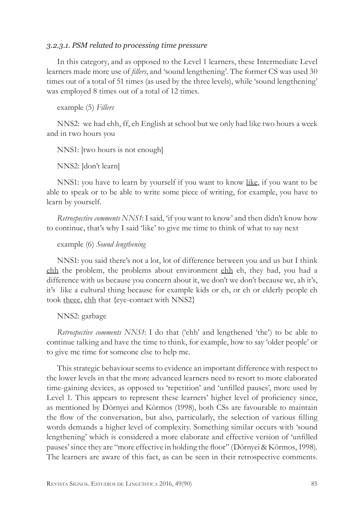#### *3.2.3.1. PSM related to processing time pressure*

In this category, and as opposed to the Level 1 learners, these Intermediate Level learners made more use of *fillers*, and 'sound lengthening'. The former CS was used 30 times out of a total of 51 times (as used by the three levels), while 'sound lengthening' was employed 8 times out of a total of 12 times.

example (5) *Fillers* 

NNS2: we had ehh, ff, eh English at school but we only had like two hours a week and in two hours you

NNS1: [two hours is not enough]

NNS2: [don't learn]

NNS1: you have to learn by yourself if you want to know like, if you want to be able to speak or to be able to write some piece of writing, for example, you have to learn by yourself.

*Retrospective comments NNS1*: I said, 'if you want to know' and then didn't know how to continue, that's why I said 'like' to give me time to think of what to say next

#### example (6) *Sound lengthening*

NNS1: you said there's not a lot, lot of difference between you and us but I think ehh the problem, the problems about environment ehh eh, they had, you had a difference with us because you concern about it, we don't we don't because we, ah it's, it's like a cultural thing because for example kids or eh, or eh or elderly people eh took theee, ehh that {eye-contact with NNS2}

NNS2: garbage

*Retrospective comments NNS1*: I do that ('ehh' and lengthened 'the') to be able to continue talking and have the time to think, for example, how to say 'older people' or to give me time for someone else to help me.

This strategic behaviour seems to evidence an important difference with respect to the lower levels in that the more advanced learners need to resort to more elaborated time-gaining devices, as opposed to 'repetition' and 'unfilled pauses', more used by Level 1. This appears to represent these learners' higher level of proficiency since, as mentioned by Dörnyei and Körmos (1998), both CSs are favourable to maintain the flow of the conversation, but also, particularly, the selection of various filling words demands a higher level of complexity. Something similar occurs with 'sound lengthening' which is considered a more elaborate and effective version of 'unfilled pauses' since they are "more effective in holding the floor" (Dörnyei & Körmos, 1998). The learners are aware of this fact, as can be seen in their retrospective comments.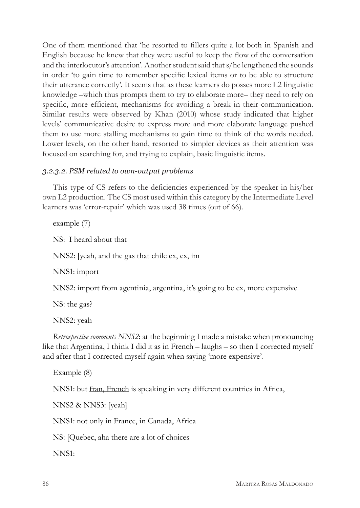One of them mentioned that 'he resorted to fillers quite a lot both in Spanish and English because he knew that they were useful to keep the flow of the conversation and the interlocutor's attention'. Another student said that s/he lengthened the sounds in order 'to gain time to remember specific lexical items or to be able to structure their utterance correctly'*.* It seems that as these learners do posses more L2 linguistic knowledge –which thus prompts them to try to elaborate more– they need to rely on specific, more efficient, mechanisms for avoiding a break in their communication. Similar results were observed by Khan (2010) whose study indicated that higher levels' communicative desire to express more and more elaborate language pushed them to use more stalling mechanisms to gain time to think of the words needed. Lower levels, on the other hand, resorted to simpler devices as their attention was focused on searching for, and trying to explain, basic linguistic items.

## *3.2.3.2. PSM related to own-output problems*

This type of CS refers to the deficiencies experienced by the speaker in his/her own L2 production. The CS most used within this category by the Intermediate Level learners was 'error-repair' which was used 38 times (out of 66).

example (7) NS: I heard about that NNS2: [yeah, and the gas that chile ex, ex, im NNS1: import NNS2: import from <u>agentinia, argentina</u>, it's going to be <u>ex, more expensive</u> NS: the gas? NNS2: yeah *Retrospective comments NNS2*: at the beginning I made a mistake when pronouncing like that Argentina, I think I did it as in French – laughs – so then I corrected myself and after that I corrected myself again when saying 'more expensive'.

```
Example (8)
NNS1: but fran, French is speaking in very different countries in Africa, 
NNS2 & NNS3: [yeah]
NNS1: not only in France, in Canada, Africa
NS: [Quebec, aha there are a lot of choices
```
NNS1: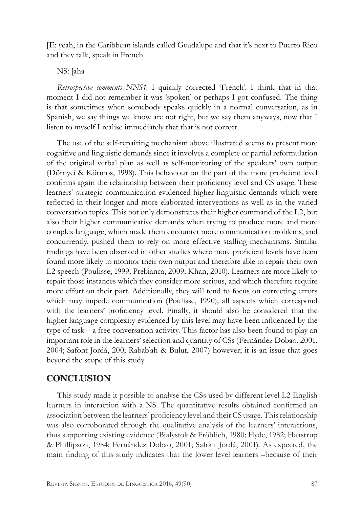[E: yeah, in the Caribbean islands called Guadalupe and that it's next to Puerto Rico and they talk, speak in French

#### NS: [aha

*Retrospective comments NNS1*: I quickly corrected 'French'. I think that in that moment I did not remember it was 'spoken' or perhaps I got confused. The thing is that sometimes when somebody speaks quickly in a normal conversation, as in Spanish, we say things we know are not right, but we say them anyways, now that I listen to myself I realise immediately that that is not correct.

The use of the self-repairing mechanism above illustrated seems to present more cognitive and linguistic demands since it involves a complete or partial reformulation of the original verbal plan as well as self-monitoring of the speakers' own output (Dörnyei & Körmos, 1998). This behaviour on the part of the more proficient level confirms again the relationship between their proficiency level and CS usage. These learners' strategic communication evidenced higher linguistic demands which were reflected in their longer and more elaborated interventions as well as in the varied conversation topics. This not only demonstrates their higher command of the L2, but also their higher communicative demands when trying to produce more and more complex language, which made them encounter more communication problems, and concurrently, pushed them to rely on more effective stalling mechanisms. Similar findings have been observed in other studies where more proficient levels have been found more likely to monitor their own output and therefore able to repair their own L2 speech (Poulisse, 1999; Prebianca, 2009; Khan, 2010). Learners are more likely to repair those instances which they consider more serious, and which therefore require more effort on their part. Additionally, they will tend to focus on correcting errors which may impede communication (Poulisse, 1990), all aspects which correspond with the learners' proficiency level. Finally, it should also be considered that the higher language complexity evidenced by this level may have been influenced by the type of task – a free conversation activity. This factor has also been found to play an important role in the learners' selection and quantity of CSs (Fernández Dobao, 2001, 2004; Safont Jordá, 200; Rabab'ah & Bulut, 2007) however; it is an issue that goes beyond the scope of this study.

# **CONCLUSION**

This study made it possible to analyse the CSs used by different level L2 English learners in interaction with a NS. The quantitative results obtained confirmed an association between the learners' proficiency level and their CS usage. This relationship was also corroborated through the qualitative analysis of the learners' interactions, thus supporting existing evidence (Bialystok & Fröhlich, 1980; Hyde, 1982; Haastrup & Phillipson, 1984; Fernández Dobao, 2001; Safont Jordá, 2001). As expected, the main finding of this study indicates that the lower level learners –because of their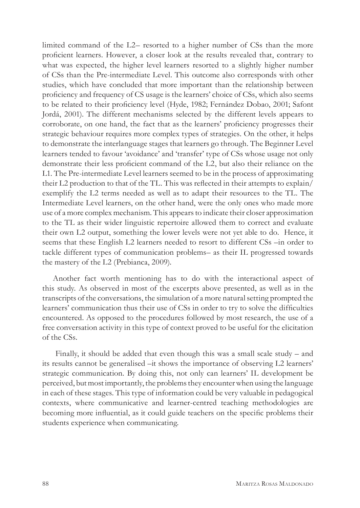limited command of the L2– resorted to a higher number of CSs than the more proficient learners. However, a closer look at the results revealed that, contrary to what was expected, the higher level learners resorted to a slightly higher number of CSs than the Pre-intermediate Level. This outcome also corresponds with other studies, which have concluded that more important than the relationship between proficiency and frequency of CS usage is the learners' choice of CSs, which also seems to be related to their proficiency level (Hyde, 1982; Fernández Dobao, 2001; Safont Jordá, 2001). The different mechanisms selected by the different levels appears to corroborate, on one hand, the fact that as the learners' proficiency progresses their strategic behaviour requires more complex types of strategies. On the other, it helps to demonstrate the interlanguage stages that learners go through. The Beginner Level learners tended to favour 'avoidance' and 'transfer' type of CSs whose usage not only demonstrate their less proficient command of the L2, but also their reliance on the L1. The Pre-intermediate Level learners seemed to be in the process of approximating their L2 production to that of the TL. This was reflected in their attempts to explain/ exemplify the L2 terms needed as well as to adapt their resources to the TL. The Intermediate Level learners, on the other hand, were the only ones who made more use of a more complex mechanism. This appears to indicate their closer approximation to the TL as their wider linguistic repertoire allowed them to correct and evaluate their own L2 output, something the lower levels were not yet able to do. Hence, it seems that these English L2 learners needed to resort to different CSs –in order to tackle different types of communication problems– as their IL progressed towards the mastery of the L2 (Prebianca, 2009).

Another fact worth mentioning has to do with the interactional aspect of this study. As observed in most of the excerpts above presented, as well as in the transcripts of the conversations, the simulation of a more natural setting prompted the learners' communication thus their use of CSs in order to try to solve the difficulties encountered. As opposed to the procedures followed by most research, the use of a free conversation activity in this type of context proved to be useful for the elicitation of the CSs.

 Finally, it should be added that even though this was a small scale study – and its results cannot be generalised –it shows the importance of observing L2 learners' strategic communication. By doing this, not only can learners' IL development be perceived, but most importantly, the problems they encounter when using the language in each of these stages. This type of information could be very valuable in pedagogical contexts, where communicative and learner-centred teaching methodologies are becoming more influential, as it could guide teachers on the specific problems their students experience when communicating.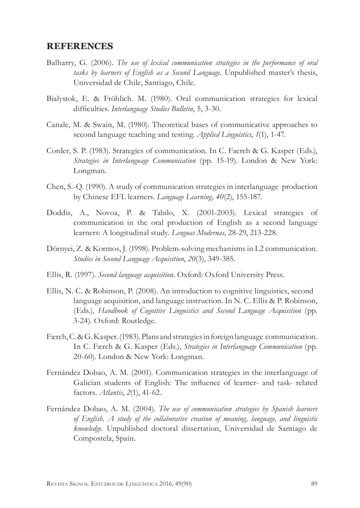#### **REFERENCES**

- Balharry, G. (2006). *The use of lexical communication strategies in the performance of oral tasks by learners of English as a Second Language.* Unpublished master's thesis, Universidad de Chile, Santiago, Chile.
- Bialystok, E. & Fröhlich. M. (1980). Oral communication strategies for lexical difficulties. *Interlanguage Studies Bulletin*, 5, 3-30.
- Canale, M. & Swain, M. (1980). Theoretical bases of communicative approaches to second language teaching and testing. *Applied Linguistics*, *1*(1), 1-47.
- Corder, S. P. (1983). Strategies of communication. In C. Faerch & G. Kasper (Eds.), *Strategies in Interlanguage Communication* (pp. 15-19). London & New York: Longman.
- Chen, S.-Q. (1990). A study of communication strategies in interlanguage production by Chinese EFL learners. *Language Learning, 40*(2), 155-187.
- Doddis, A., Novoa, P. & Tabilo, X. (2001-2003). Lexical strategies of communication in the oral production of English as a second language learners: A longitudinal study. *Lenguas Modernas*, 28-29, 213-228.
- Dörnyei, Z. & Kormos, J. (1998). Problem-solving mechanisms in L2 communication. *Studies in Second Language Acquisition*, *20*(3), 349-385.
- Ellis, R. (1997). *Second language acquisition*. Oxford: Oxford University Press.
- Ellis, N. C. & Robinson, P. (2008). An introduction to cognitive linguistics, second language acquisition, and language instruction. In N. C. Ellis & P. Robinson, (Eds.), *Handbook of Cognitive Linguistics and Second Language Acquisition* (pp. 3-24). Oxford: Routledge.
- Færch, C. & G. Kasper. (1983). Plans and strategies in foreign language communication. In C. Færch & G. Kasper (Eds.), *Strategies in Interlanguage Communication* (pp. 20-60). London & New York: Longman.
- Fernández Dobao, A. M. (2001). Communication strategies in the interlanguage of Galician students of English: The influence of learner- and task- related factors. *Atlantis*, *2*(1), 41-62.
- Fernández Dobao, A. M. (2004). *The use of communication strategies by Spanish learners of English. A study of the collaborative creation of meaning, language, and linguistic knowledge*. Unpublished doctoral dissertation, Universidad de Santiago de Compostela, Spain.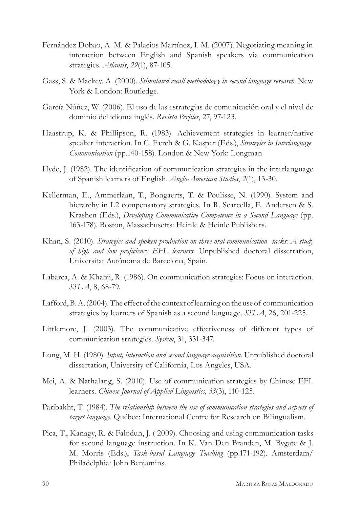- Fernández Dobao, A. M. & Palacios Martínez, I. M. (2007). Negotiating meaning in interaction between English and Spanish speakers via communication strategies. *Atlantis*, *29*(1), 87-105.
- Gass, S. & Mackey. A. (2000). *Stimulated recall methodolog y in second language research*. New York & London: Routledge.
- García Núñez, W. (2006). El uso de las estrategias de comunicación oral y el nivel de dominio del idioma inglés. *Revista Perfiles*, 27, 97-123.
- Haastrup, K. & Phillipson, R. (1983). Achievement strategies in learner/native speaker interaction. In C. Færch & G. Kasper (Eds.), *Strategies in Interlanguage Communication* (pp.140-158). London & New York: Longman
- Hyde, J. (1982). The identification of communication strategies in the interlanguage of Spanish learners of English. *Anglo-American Studies*, *2*(1), 13-30.
- Kellerman, E., Ammerlaan, T., Bongaerts, T. & Poulisse, N. (1990). System and hierarchy in L2 compensatory strategies. In R. Scarcella, E. Andersen & S. Krashen (Eds.), *Developing Communicative Competence in a Second Language* (pp. 163-178). Boston, Massachusetts: Heinle & Heinle Publishers.
- Khan, S. (2010). *Strategies and spoken production on three oral communication tasks: A study of high and low proficiency EFL learners*. Unpublished doctoral dissertation, Universitat Autónoma de Barcelona, Spain.
- Labarca, A. & Khanji, R. (1986). On communication strategies: Focus on interaction. *SSLA*, 8, 68-79.
- Lafford, B. A. (2004). The effect of the context of learning on the use of communication strategies by learners of Spanish as a second language. *SSLA*, 26, 201-225.
- Littlemore, J. (2003). The communicative effectiveness of different types of communication strategies. *System*, 31, 331-347.
- Long, M. H. (1980). *Input, interaction and second language acquisition*. Unpublished doctoral dissertation, University of California, Los Angeles, USA.
- Mei, A. & Nathalang, S. (2010). Use of communication strategies by Chinese EFL learners. *Chinese Journal of Applied Linguistics*, *33*(3), 110-125.
- Paribakht, T. (1984). *The relationship between the use of communication strategies and aspects of target language*. Québec: International Centre for Research on Bilingualism.
- Pica, T., Kanagy, R. & Falodun, J. ( 2009). Choosing and using communication tasks for second language instruction. In K. Van Den Branden, M. Bygate & J. M. Morris (Eds.), *Task-based Language Teaching* (pp.171-192). Amsterdam/ Philadelphia: John Benjamins.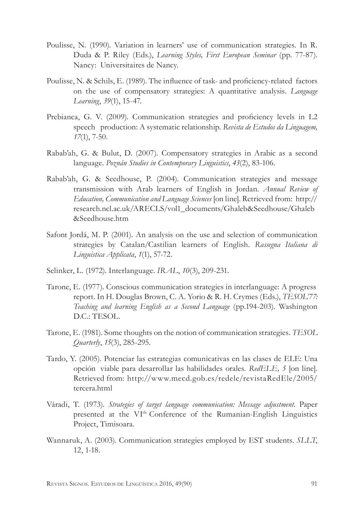- Poulisse, N. (1990). Variation in learners' use of communication strategies. In R. Duda & P. Riley (Eds.), *Learning Styles, First European Seminar* (pp. 77-87). Nancy: Universitaires de Nancy.
- Poulisse, N. & Schils, E. (1989). The influence of task- and proficiency-related factors on the use of compensatory strategies: A quantitative analysis. *Language Learning*, *39*(1), 15-47.
- Prebianca, G. V. (2009). Communication strategies and proficiency levels in L2 speech production: A systematic relationship. *Revista de Estudos da Linguagem, 17*(1), 7-50.
- Rabab'ah, G. & Bulut, D. (2007). Compensatory strategies in Arabic as a second language. *Poznán Studies in Contemporary Linguistics*, *43*(2), 83-106.
- Rabab'ah, G. & Seedhouse, P. (2004). Communication strategies and message transmission with Arab learners of English in Jordan. *Annual Review of Education, Communication and Language Sciences* [on line]. Retrieved from: http:// research.ncl.ac.uk/ARECLS/vol1\_documents/Ghaleb&Seedhouse/Ghaleb &Seedhouse.htm
- Safont Jordá, M. P. (2001). An analysis on the use and selection of communication strategies by Catalan/Castilian learners of English. *Rassegna Italiana di Linguistica Applicata*, *1*(1), 57-72.
- Selinker, L. (1972). Interlanguage. *IRAL*, *10*(3), 209-231.
- Tarone, E. (1977). Conscious communication strategies in interlanguage: A progress report. In H. Douglas Brown, C. A. Yorio & R. H. Crymes (Eds.), *TESOL'77: Teaching and learning English as a Second Language* (pp.194-203). Washington D.C.: TESOL.
- Tarone, E. (1981). Some thoughts on the notion of communication strategies. *TESOL Quarterly*, *15*(3), 285-295.
- Tardo, Y. (2005). Potenciar las estrategias comunicativas en las clases de ELE: Una opción viable para desarrollar las habilidades orales*. RedELE, 5* [on line]. Retrieved from: http://www.mecd.gob.es/redele/revistaRedEle/2005/ tercera.html
- Váradi, T. (1973). *Strategies of target language communication: Message adjustment*. Paper presented at the VIth Conference of the Rumanian-English Linguistics Project, Timisoara.
- Wannaruk, A. (2003). Communication strategies employed by EST students. *SLLT*, 12, 1-18.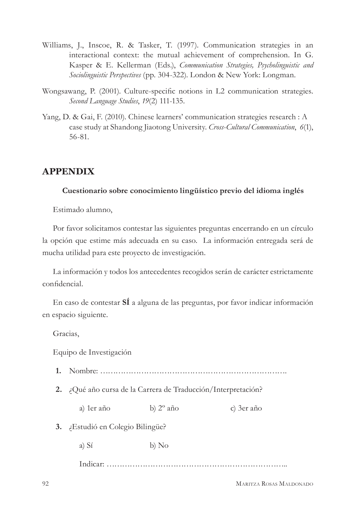- Williams, J., Inscoe, R. & Tasker, T. (1997). Communication strategies in an interactional context: the mutual achievement of comprehension. In G. Kasper & E. Kellerman (Eds.), *Communication Strategies, Psycholinguistic and Sociolinguistic Perspectives* (pp. 304-322). London & New York: Longman.
- Wongsawang, P. (2001). Culture-specific notions in L2 communication strategies. *Second Language Studies*, *19*(2) 111-135.
- Yang, D. & Gai, F. (2010). Chinese learners' communication strategies research : A case study at Shandong Jiaotong University. *Cross-Cultural Communication*, *6*(1), 56-81.

# **APPENDIX**

#### **Cuestionario sobre conocimiento lingüístico previo del idioma inglés**

Estimado alumno,

Por favor solicitamos contestar las siguientes preguntas encerrando en un círculo la opción que estime más adecuada en su caso. La información entregada será de mucha utilidad para este proyecto de investigación.

La información y todos los antecedentes recogidos serán de carácter estrictamente confidencial.

En caso de contestar **SÍ** a alguna de las preguntas, por favor indicar información en espacio siguiente.

Gracias,

Equipo de Investigación

- **1.** Nombre: ……………………………………………………………….
- **2.** ¿Qué año cursa de la Carrera de Traducción/Interpretación?

a) 1er año b) 2º año c) 3er año

- **3.** ¿Estudió en Colegio Bilingüe?
	- a) Sí b) No

Indicar: ……………………………………………………………..